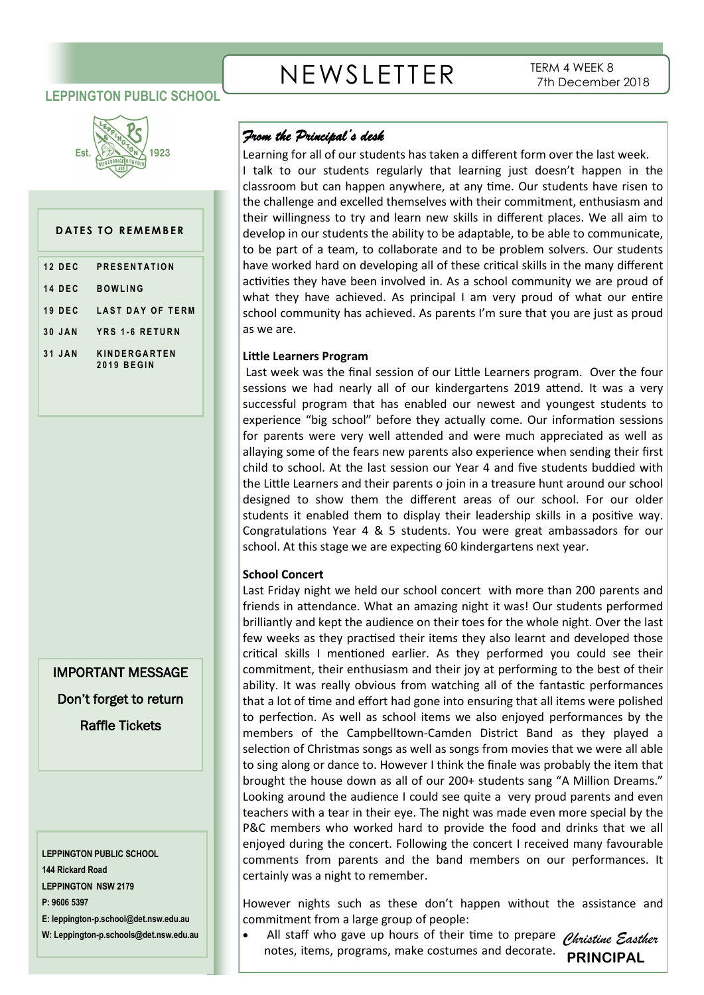## **LEPPINGTON PUBLIC SCHOOL**



#### **DATE S TO REMEMB ER**

| 12 DEC        | PRESENTATION                             |
|---------------|------------------------------------------|
| <b>14 DEC</b> | BOWLING                                  |
| 19 DEC        | <b>LAST DAY OF TERM</b>                  |
| 30 JAN        | <b>YRS 1-6 RETURN</b>                    |
| 31 JAN        | <b>KINDERGARTEN</b><br><b>2019 BEGIN</b> |

IMPORTANT MESSAGE Don't forget to return Raffle Tickets

**LEPPINGTON PUBLIC SCHOOL 144 Rickard Road LEPPINGTON NSW 2179 P: 9606 5397 E: leppington-p.school@det.nsw.edu.au**

**W: Leppington-p.schools@det.nsw.edu.au**

# **NEWSLETTER**

## *From the Principal's desk*

Learning for all of our students has taken a different form over the last week. I talk to our students regularly that learning just doesn't happen in the classroom but can happen anywhere, at any time. Our students have risen to the challenge and excelled themselves with their commitment, enthusiasm and their willingness to try and learn new skills in different places. We all aim to develop in our students the ability to be adaptable, to be able to communicate, to be part of a team, to collaborate and to be problem solvers. Our students have worked hard on developing all of these critical skills in the many different activities they have been involved in. As a school community we are proud of what they have achieved. As principal I am very proud of what our entire school community has achieved. As parents I'm sure that you are just as proud as we are.

#### **Little Learners Program**

Last week was the final session of our Little Learners program. Over the four sessions we had nearly all of our kindergartens 2019 attend. It was a very successful program that has enabled our newest and youngest students to experience "big school" before they actually come. Our information sessions for parents were very well attended and were much appreciated as well as allaying some of the fears new parents also experience when sending their first child to school. At the last session our Year 4 and five students buddied with the Little Learners and their parents o join in a treasure hunt around our school designed to show them the different areas of our school. For our older students it enabled them to display their leadership skills in a positive way. Congratulations Year 4 & 5 students. You were great ambassadors for our school. At this stage we are expecting 60 kindergartens next year.

#### **School Concert**

Last Friday night we held our school concert with more than 200 parents and friends in attendance. What an amazing night it was! Our students performed brilliantly and kept the audience on their toes for the whole night. Over the last few weeks as they practised their items they also learnt and developed those critical skills I mentioned earlier. As they performed you could see their commitment, their enthusiasm and their joy at performing to the best of their ability. It was really obvious from watching all of the fantastic performances that a lot of time and effort had gone into ensuring that all items were polished to perfection. As well as school items we also enjoyed performances by the members of the Campbelltown-Camden District Band as they played a selection of Christmas songs as well as songs from movies that we were all able to sing along or dance to. However I think the finale was probably the item that brought the house down as all of our 200+ students sang "A Million Dreams." Looking around the audience I could see quite a very proud parents and even teachers with a tear in their eye. The night was made even more special by the P&C members who worked hard to provide the food and drinks that we all enjoyed during the concert. Following the concert I received many favourable comments from parents and the band members on our performances. It certainly was a night to remember.

However nights such as these don't happen without the assistance and commitment from a large group of people:

 All staff who gave up hours of their time to prepare *Christine Easther* notes, items, programs, make costumes and decorate. **PRINCIPAL**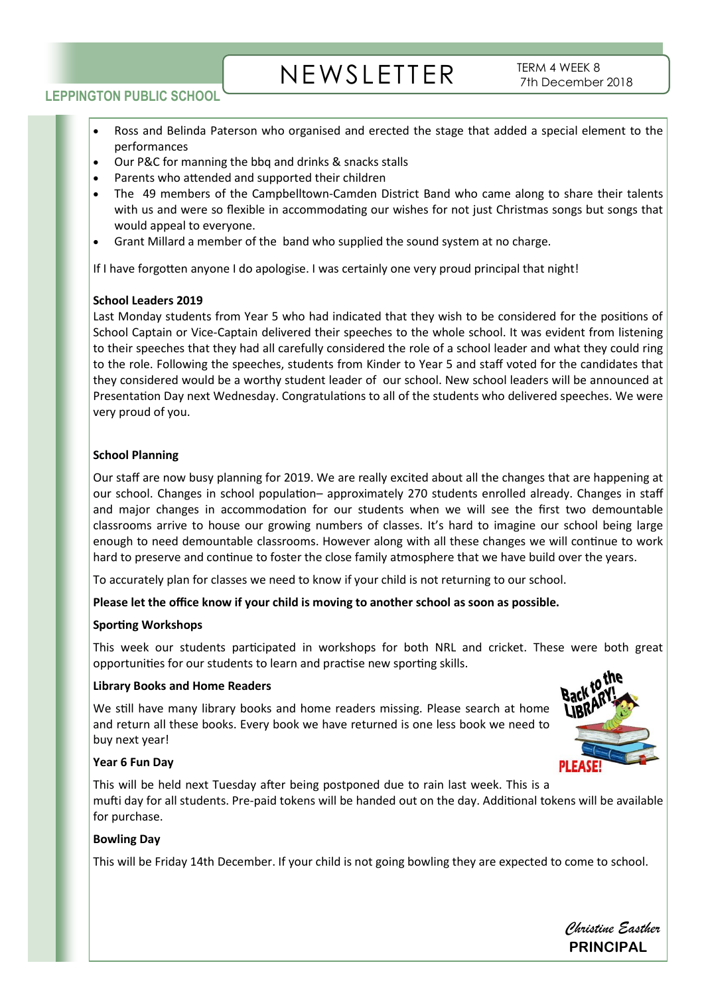# **NEWSLETTER**

## **LEPPINGTON PUBLIC SCHOOL**

- Ross and Belinda Paterson who organised and erected the stage that added a special element to the performances
- Our P&C for manning the bbq and drinks & snacks stalls
- Parents who attended and supported their children
- The 49 members of the Campbelltown-Camden District Band who came along to share their talents with us and were so flexible in accommodating our wishes for not just Christmas songs but songs that would appeal to everyone.
- Grant Millard a member of the band who supplied the sound system at no charge.

If I have forgotten anyone I do apologise. I was certainly one very proud principal that night!

#### **School Leaders 2019**

Last Monday students from Year 5 who had indicated that they wish to be considered for the positions of School Captain or Vice-Captain delivered their speeches to the whole school. It was evident from listening to their speeches that they had all carefully considered the role of a school leader and what they could ring to the role. Following the speeches, students from Kinder to Year 5 and staff voted for the candidates that they considered would be a worthy student leader of our school. New school leaders will be announced at Presentation Day next Wednesday. Congratulations to all of the students who delivered speeches. We were very proud of you.

### **School Planning**

Our staff are now busy planning for 2019. We are really excited about all the changes that are happening at our school. Changes in school population– approximately 270 students enrolled already. Changes in staff and major changes in accommodation for our students when we will see the first two demountable classrooms arrive to house our growing numbers of classes. It's hard to imagine our school being large enough to need demountable classrooms. However along with all these changes we will continue to work hard to preserve and continue to foster the close family atmosphere that we have build over the years.

To accurately plan for classes we need to know if your child is not returning to our school.

#### **Please let the office know if your child is moving to another school as soon as possible.**

#### **Sporting Workshops**

This week our students participated in workshops for both NRL and cricket. These were both great opportunities for our students to learn and practise new sporting skills.

#### **Library Books and Home Readers**

We still have many library books and home readers missing. Please search at home and return all these books. Every book we have returned is one less book we need to buy next year!



#### **Year 6 Fun Day**

This will be held next Tuesday after being postponed due to rain last week. This is a mufti day for all students. Pre-paid tokens will be handed out on the day. Additional tokens will be available for purchase.

#### **Bowling Day**

This will be Friday 14th December. If your child is not going bowling they are expected to come to school.

*Christine Easther* **PRINCIPAL**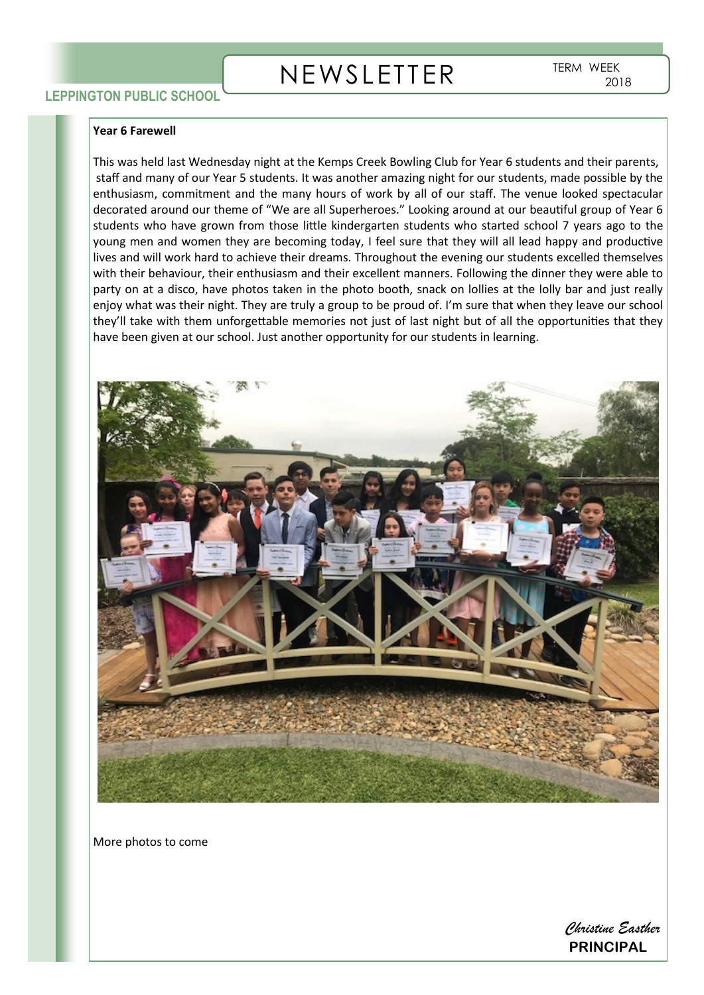#### **Year 6 Farewell**

This was held last Wednesday night at the Kemps Creek Bowling Club for Year 6 students and their parents, staff and many of our Year 5 students. It was another amazing night for our students, made possible by the enthusiasm, commitment and the many hours of work by all of our staff. The venue looked spectacular decorated around our theme of "We are all Superheroes." Looking around at our beautiful group of Year 6 students who have grown from those little kindergarten students who started school 7 years ago to the young men and women they are becoming today, I feel sure that they will all lead happy and productive lives and will work hard to achieve their dreams. Throughout the evening our students excelled themselves with their behaviour, their enthusiasm and their excellent manners. Following the dinner they were able to party on at a disco, have photos taken in the photo booth, snack on lollies at the lolly bar and just really enjoy what was their night. They are truly a group to be proud of. I'm sure that when they leave our school they'll take with them unforgettable memories not just of last night but of all the opportunities that they have been given at our school. Just another opportunity for our students in learning.



More photos to come

*Christine Easther* **PRINCIPAL**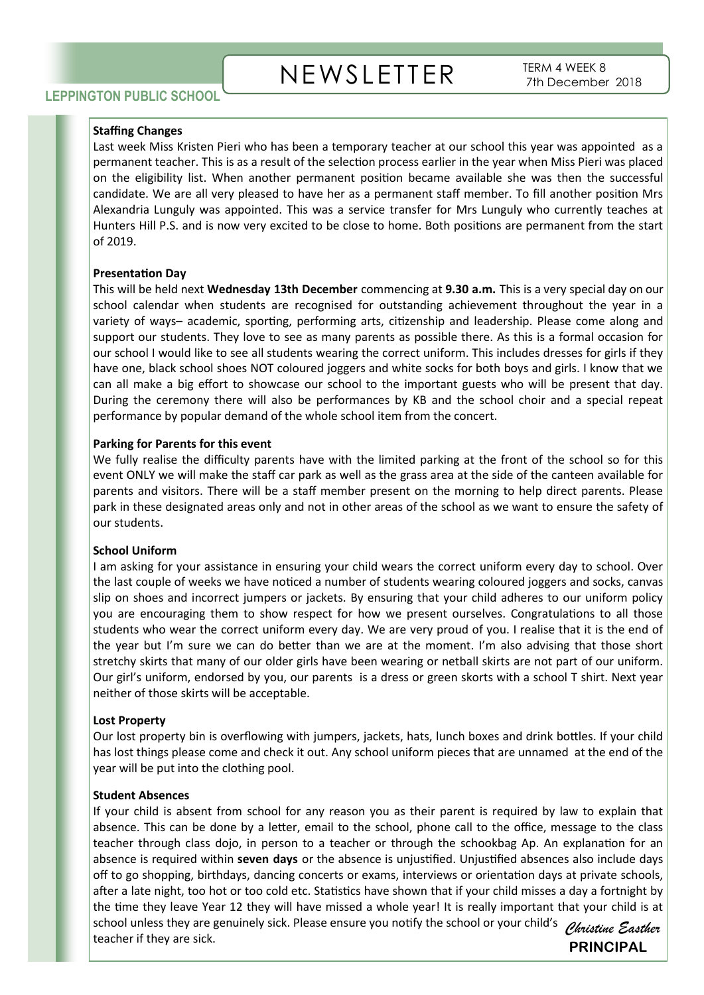#### **Staffing Changes**

Last week Miss Kristen Pieri who has been a temporary teacher at our school this year was appointed as a permanent teacher. This is as a result of the selection process earlier in the year when Miss Pieri was placed on the eligibility list. When another permanent position became available she was then the successful candidate. We are all very pleased to have her as a permanent staff member. To fill another position Mrs Alexandria Lunguly was appointed. This was a service transfer for Mrs Lunguly who currently teaches at Hunters Hill P.S. and is now very excited to be close to home. Both positions are permanent from the start of 2019.

#### **Presentation Day**

This will be held next **Wednesday 13th December** commencing at **9.30 a.m.** This is a very special day on our school calendar when students are recognised for outstanding achievement throughout the year in a variety of ways– academic, sporting, performing arts, citizenship and leadership. Please come along and support our students. They love to see as many parents as possible there. As this is a formal occasion for our school I would like to see all students wearing the correct uniform. This includes dresses for girls if they have one, black school shoes NOT coloured joggers and white socks for both boys and girls. I know that we can all make a big effort to showcase our school to the important guests who will be present that day. During the ceremony there will also be performances by KB and the school choir and a special repeat performance by popular demand of the whole school item from the concert.

#### **Parking for Parents for this event**

We fully realise the difficulty parents have with the limited parking at the front of the school so for this event ONLY we will make the staff car park as well as the grass area at the side of the canteen available for parents and visitors. There will be a staff member present on the morning to help direct parents. Please park in these designated areas only and not in other areas of the school as we want to ensure the safety of our students.

#### **School Uniform**

I am asking for your assistance in ensuring your child wears the correct uniform every day to school. Over the last couple of weeks we have noticed a number of students wearing coloured joggers and socks, canvas slip on shoes and incorrect jumpers or jackets. By ensuring that your child adheres to our uniform policy you are encouraging them to show respect for how we present ourselves. Congratulations to all those students who wear the correct uniform every day. We are very proud of you. I realise that it is the end of the year but I'm sure we can do better than we are at the moment. I'm also advising that those short stretchy skirts that many of our older girls have been wearing or netball skirts are not part of our uniform. Our girl's uniform, endorsed by you, our parents is a dress or green skorts with a school T shirt. Next year neither of those skirts will be acceptable.

#### **Lost Property**

Our lost property bin is overflowing with jumpers, jackets, hats, lunch boxes and drink bottles. If your child has lost things please come and check it out. Any school uniform pieces that are unnamed at the end of the year will be put into the clothing pool.

#### **Student Absences**

If your child is absent from school for any reason you as their parent is required by law to explain that absence. This can be done by a letter, email to the school, phone call to the office, message to the class teacher through class dojo, in person to a teacher or through the schookbag Ap. An explanation for an absence is required within **seven days** or the absence is unjustified. Unjustified absences also include days off to go shopping, birthdays, dancing concerts or exams, interviews or orientation days at private schools, after a late night, too hot or too cold etc. Statistics have shown that if your child misses a day a fortnight by the time they leave Year 12 they will have missed a whole year! It is really important that your child is at school unless they are genuinely sick. Please ensure you notify the school or your child's *Unistine Easther* teacher if they are sick. **PRINCIPAL**